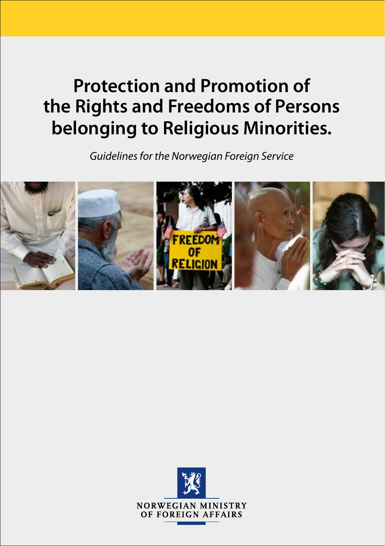# **Protection and Promotion of the Rights and Freedoms of Persons belonging to Religious Minorities.**

*Guidelines for the Norwegian Foreign Service*



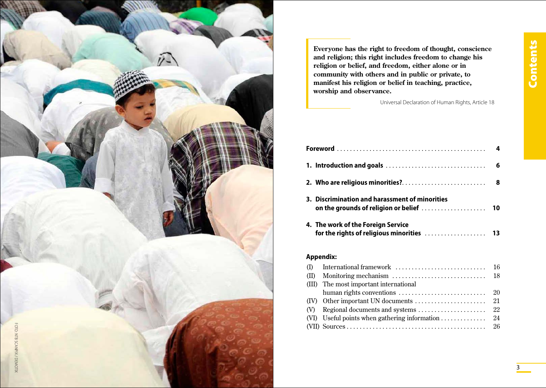

**Everyone has the right to freedom of thought, conscience and religion; this right includes freedom to change his religion or belief, and freedom, either alone or in community with others and in public or private, to manifest his religion or belief in teaching, practice, worship and observance.** 

Universal Declaration of Human Rights, Article 18

| 3. Discrimination and harassment of minorities |  |
|------------------------------------------------|--|
| 4. The work of the Foreign Service             |  |

# **Appendix:**

| (III) The most important international |  |
|----------------------------------------|--|
|                                        |  |
|                                        |  |
|                                        |  |
|                                        |  |
|                                        |  |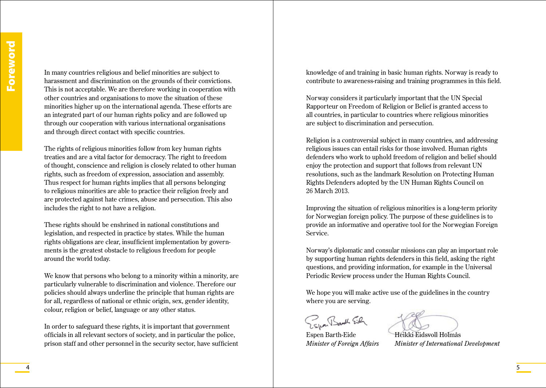In many countries religious and belief minorities are subject to harassment and discrimination on the grounds of their convictions. This is not acceptable. We are therefore working in cooperation with other countries and organisations to move the situation of these minorities higher up on the international agenda. These efforts are an integrated part of our human rights policy and are followed up through our cooperation with various international organisations and through direct contact with specific countries.

The rights of religious minorities follow from key human rights treaties and are a vital factor for democracy. The right to freedom of thought, conscience and religion is closely related to other human rights, such as freedom of expression, association and assembly. Thus respect for human rights implies that all persons belonging to religious minorities are able to practice their religion freely and are protected against hate crimes, abuse and persecution. This also includes the right to not have a religion.

These rights should be enshrined in national constitutions and legislation, and respected in practice by states. While the human rights obligations are clear, insufficient implementation by governments is the greatest obstacle to religious freedom for people around the world today.

We know that persons who belong to a minority within a minority, are particularly vulnerable to discrimination and violence. Therefore our policies should always underline the principle that human rights are for all, regardless of national or ethnic origin, sex, gender identity, colour, religion or belief, language or any other status.

In order to safeguard these rights, it is important that government officials in all relevant sectors of society, and in particular the police, prison staff and other personnel in the security sector, have sufficient knowledge of and training in basic human rights. Norway is ready to contribute to awareness-raising and training programmes in this field.

Norway considers it particularly important that the UN Special Rapporteur on Freedom of Religion or Belief is granted access to all countries, in particular to countries where religious minorities are subject to discrimination and persecution.

Religion is a controversial subject in many countries, and addressing religious issues can entail risks for those involved. Human rights defenders who work to uphold freedom of religion and belief should enjoy the protection and support that follows from relevant UN resolutions, such as the landmark Resolution on Protecting Human Rights Defenders adopted by the UN Human Rights Council on 26 March 2013.

Improving the situation of religious minorities is a long-term priority for Norwegian foreign policy. The purpose of these guidelines is to provide an informative and operative tool for the Norwegian Foreign Service.

Norway's diplomatic and consular missions can play an important role by supporting human rights defenders in this field, asking the right questions, and providing information, for example in the Universal Periodic Review process under the Human Rights Council.

We hope you will make active use of the guidelines in the country where you are serving.

Zuan Bank Eich

Espen Barth-Eide Heikki Eidsvoll Holmås

*Minister of Foreign Affairs Minister of International Development*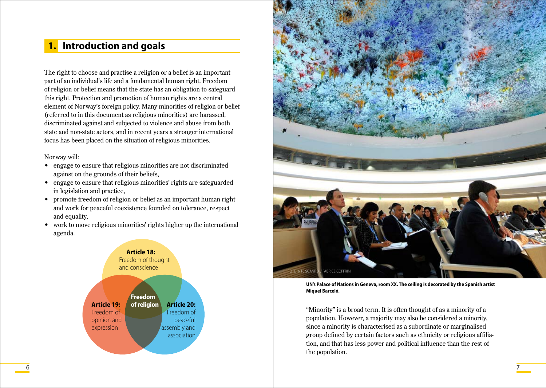# **1. Introduction and goals**

The right to choose and practise a religion or a belief is an important part of an individual's life and a fundamental human right. Freedom of religion or belief means that the state has an obligation to safeguard this right. Protection and promotion of human rights are a central element of Norway's foreign policy. Many minorities of religion or belief (referred to in this document as religious minorities) are harassed, discriminated against and subjected to violence and abuse from both state and non-state actors, and in recent years a stronger international focus has been placed on the situation of religious minorities.

#### Norway will:

- engage to ensure that religious minorities are not discriminated against on the grounds of their beliefs,
- engage to ensure that religious minorities' rights are safeguarded in legislation and practice,
- promote freedom of religion or belief as an important human right and work for peaceful coexistence founded on tolerance, respect and equality,
- work to move religious minorities' rights higher up the international agenda.





**UN's Palace of Nations in Geneva, room XX. The ceiling is decorated by the Spanish artist Miquel Barceló.**

"Minority" is a broad term. It is often thought of as a minority of a population. However, a majority may also be considered a minority, since a minority is characterised as a subordinate or marginalised group defined by certain factors such as ethnicity or religious affiliation, and that has less power and political influence than the rest of the population.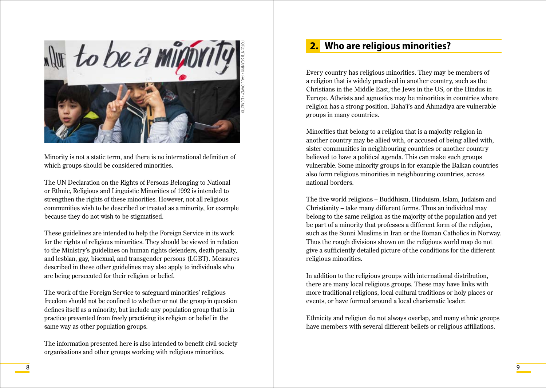

Minority is not a static term, and there is no international definition of which groups should be considered minorities.

The UN Declaration on the Rights of Persons Belonging to National or Ethnic, Religious and Linguistic Minorities of 1992 is intended to strengthen the rights of these minorities. However, not all religious communities wish to be described or treated as a minority, for example because they do not wish to be stigmatised.

These guidelines are intended to help the Foreign Service in its work for the rights of religious minorities. They should be viewed in relation to the Ministry's guidelines on human rights defenders, death penalty, and lesbian, gay, bisexual, and transgender persons (LGBT). Measures described in these other guidelines may also apply to individuals who are being persecuted for their religion or belief.

The work of the Foreign Service to safeguard minorities' religious freedom should not be confined to whether or not the group in question defines itself as a minority, but include any population group that is in practice prevented from freely practising its religion or belief in the same way as other population groups.

The information presented here is also intended to benefit civil society organisations and other groups working with religious minorities.

# **2. Who are religious minorities?**

Every country has religious minorities. They may be members of a religion that is widely practised in another country, such as the Christians in the Middle East, the Jews in the US, or the Hindus in Europe. Atheists and agnostics may be minorities in countries where religion has a strong position. Baha'i's and Ahmadiya are vulnerable groups in many countries.

Minorities that belong to a religion that is a majority religion in another country may be allied with, or accused of being allied with, sister communities in neighbouring countries or another country believed to have a political agenda. This can make such groups vulnerable. Some minority groups in for example the Balkan countries also form religious minorities in neighbouring countries, across national borders.

The five world religions – Buddhism, Hinduism, Islam, Judaism and Christianity – take many different forms. Thus an individual may belong to the same religion as the majority of the population and yet be part of a minority that professes a different form of the religion, such as the Sunni Muslims in Iran or the Roman Catholics in Norway. Thus the rough divisions shown on the religious world map do not give a sufficiently detailed picture of the conditions for the different religious minorities.

In addition to the religious groups with international distribution, there are many local religious groups. These may have links with more traditional religions, local cultural traditions or holy places or events, or have formed around a local charismatic leader.

Ethnicity and religion do not always overlap, and many ethnic groups have members with several different beliefs or religious affiliations.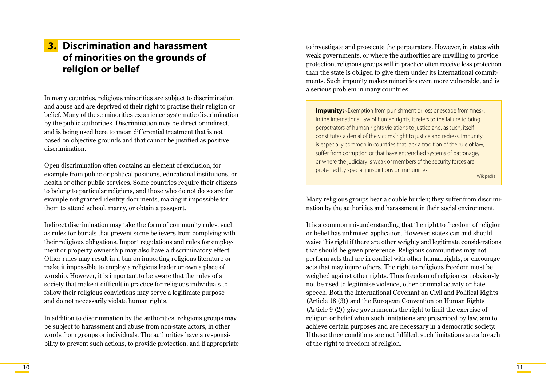# **3. Discrimination and harassment of minorities on the grounds of religion or belief**

In many countries, religious minorities are subject to discrimination and abuse and are deprived of their right to practise their religion or belief. Many of these minorities experience systematic discrimination by the public authorities. Discrimination may be direct or indirect, and is being used here to mean differential treatment that is not based on objective grounds and that cannot be justified as positive discrimination.

Open discrimination often contains an element of exclusion, for example from public or political positions, educational institutions, or health or other public services. Some countries require their citizens to belong to particular religions, and those who do not do so are for example not granted identity documents, making it impossible for them to attend school, marry, or obtain a passport.

Indirect discrimination may take the form of community rules, such as rules for burials that prevent some believers from complying with their religious obligations. Import regulations and rules for employment or property ownership may also have a discriminatory effect. Other rules may result in a ban on importing religious literature or make it impossible to employ a religious leader or own a place of worship. However, it is important to be aware that the rules of a society that make it difficult in practice for religious individuals to follow their religious convictions may serve a legitimate purpose and do not necessarily violate human rights.

In addition to discrimination by the authorities, religious groups may be subject to harassment and abuse from non-state actors, in other words from groups or individuals. The authorities have a responsibility to prevent such actions, to provide protection, and if appropriate to investigate and prosecute the perpetrators. However, in states with weak governments, or where the authorities are unwilling to provide protection, religious groups will in practice often receive less protection than the state is obliged to give them under its international commitments. Such impunity makes minorities even more vulnerable, and is a serious problem in many countries.

**Impunity:** «Exemption from punishment or loss or escape from fines». In the international law of human rights, it refers to the failure to bring perpetrators of human rights violations to justice and, as such, itself constitutes a denial of the victims' right to justice and redress. Impunity is especially common in countries that lack a tradition of the rule of law, suffer from corruption or that have entrenched systems of patronage, or where the judiciary is weak or members of the security forces are protected by special jurisdictions or immunities.

Wikipedia

Many religious groups bear a double burden; they suffer from discrimination by the authorities and harassment in their social environment.

It is a common misunderstanding that the right to freedom of religion or belief has unlimited application. However, states can and should waive this right if there are other weighty and legitimate considerations that should be given preference. Religious communities may not perform acts that are in conflict with other human rights, or encourage acts that may injure others. The right to religious freedom must be weighed against other rights. Thus freedom of religion can obviously not be used to legitimise violence, other criminal activity or hate speech. Both the International Covenant on Civil and Political Rights (Article 18 (3)) and the European Convention on Human Rights (Article 9 (2)) give governments the right to limit the exercise of religion or belief when such limitations are prescribed by law, aim to achieve certain purposes and are necessary in a democratic society. If these three conditions are not fulfilled, such limitations are a breach of the right to freedom of religion.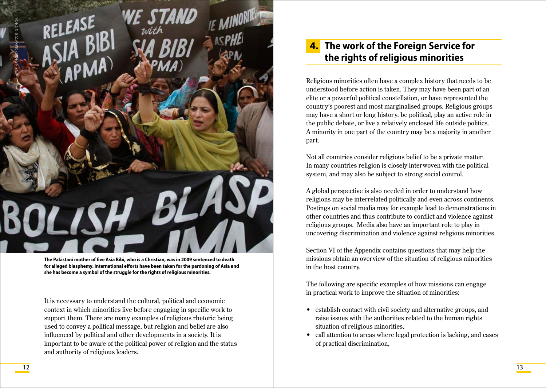

**The Pakistani mother of five Asia Bibi, who is a Christian, was in 2009 sentenced to death for alleged blasphemy. International efforts have been taken for the pardoning of Asia and she has become a symbol of the struggle for the rights of religious minorities.**

It is necessary to understand the cultural, political and economic context in which minorities live before engaging in specific work to support them. There are many examples of religious rhetoric being used to convey a political message, but religion and belief are also influenced by political and other developments in a society. It is important to be aware of the political power of religion and the status and authority of religious leaders.

# **4. The work of the Foreign Service for the rights of religious minorities**

Religious minorities often have a complex history that needs to be understood before action is taken. They may have been part of an elite or a powerful political constellation, or have represented the country's poorest and most marginalised groups. Religious groups may have a short or long history, be political, play an active role in the public debate, or live a relatively enclosed life outside politics. A minority in one part of the country may be a majority in another part.

Not all countries consider religious belief to be a private matter. In many countries religion is closely interwoven with the political system, and may also be subject to strong social control.

A global perspective is also needed in order to understand how religions may be interrelated politically and even across continents. Postings on social media may for example lead to demonstrations in other countries and thus contribute to conflict and violence against religious groups. Media also have an important role to play in uncovering discrimination and violence against religious minorities.

Section VI of the Appendix contains questions that may help the missions obtain an overview of the situation of religious minorities in the host country.

The following are specific examples of how missions can engage in practical work to improve the situation of minorities:

- establish contact with civil society and alternative groups, and raise issues with the authorities related to the human rights situation of religious minorities,
- call attention to areas where legal protection is lacking, and cases of practical discrimination,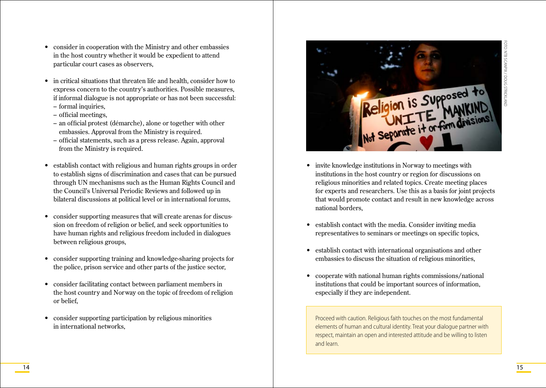- consider in cooperation with the Ministry and other embassies in the host country whether it would be expedient to attend particular court cases as observers,
- in critical situations that threaten life and health, consider how to express concern to the country's authorities. Possible measures, if informal dialogue is not appropriate or has not been successful:
	- formal inquiries,
	- official meetings,
	- an official protest (démarche), alone or together with other embassies. Approval from the Ministry is required.
	- official statements, such as a press release. Again, approval from the Ministry is required.
- establish contact with religious and human rights groups in order to establish signs of discrimination and cases that can be pursued through UN mechanisms such as the Human Rights Council and the Council's Universal Periodic Reviews and followed up in bilateral discussions at political level or in international forums,
- consider supporting measures that will create arenas for discussion on freedom of religion or belief, and seek opportunities to have human rights and religious freedom included in dialogues between religious groups,
- • consider supporting training and knowledge-sharing projects for the police, prison service and other parts of the justice sector,
- • consider facilitating contact between parliament members in the host country and Norway on the topic of freedom of religion or belief,
- consider supporting participation by religious minorities in international networks,



- invite knowledge institutions in Norway to meetings with institutions in the host country or region for discussions on religious minorities and related topics. Create meeting places for experts and researchers. Use this as a basis for joint projects that would promote contact and result in new knowledge across national borders,
- establish contact with the media. Consider inviting media representatives to seminars or meetings on specific topics,
- establish contact with international organisations and other embassies to discuss the situation of religious minorities,
- cooperate with national human rights commissions/national institutions that could be important sources of information, especially if they are independent.

Proceed with caution. Religious faith touches on the most fundamental elements of human and cultural identity. Treat your dialogue partner with respect, maintain an open and interested attitude and be willing to listen and learn.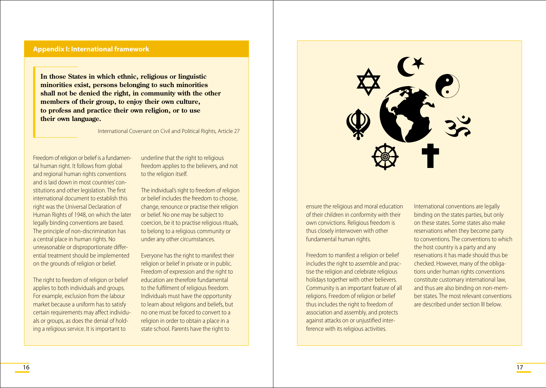#### **Appendix I: International framework**

**In those States in which ethnic, religious or linguistic minorities exist, persons belonging to such minorities shall not be denied the right, in community with the other members of their group, to enjoy their own culture, to profess and practice their own religion, or to use their own language.** 

International Covenant on Civil and Political Rights, Article 27

Freedom of religion or belief is a fundamental human right. It follows from global and regional human rights conventions and is laid down in most countries' constitutions and other legislation. The first international document to establish this right was the Universal Declaration of Human Rights of 1948, on which the later legally binding conventions are based. The principle of non-discrimination has a central place in human rights. No unreasonable or disproportionate differential treatment should be implemented on the grounds of religion or belief.

The right to freedom of religion or belief applies to both individuals and groups. For example, exclusion from the labour market because a uniform has to satisfy certain requirements may affect individuals or groups, as does the denial of holding a religious service. It is important to

underline that the right to religious freedom applies to the believers, and not to the religion itself.

The individual's right to freedom of religion or belief includes the freedom to choose, change, renounce or practise their religion or belief. No one may be subject to coercion, be it to practise religious rituals, to belong to a religious community or under any other circumstances.

Everyone has the right to manifest their religion or belief in private or in public. Freedom of expression and the right to education are therefore fundamental to the fulfilment of religious freedom. Individuals must have the opportunity to learn about religions and beliefs, but no one must be forced to convert to a religion in order to obtain a place in a state school. Parents have the right to



ensure the religious and moral education of their children in conformity with their own convictions. Religious freedom is thus closely interwoven with other fundamental human rights.

Freedom to manifest a religion or belief includes the right to assemble and practise the religion and celebrate religious holidays together with other believers. Community is an important feature of all religions. Freedom of religion or belief thus includes the right to freedom of association and assembly, and protects against attacks on or unjustified interference with its religious activities.

International conventions are legally binding on the states parties, but only on these states. Some states also make reservations when they become party to conventions. The conventions to which the host country is a party and any reservations it has made should thus be checked. However, many of the obligations under human rights conventions constitute customary international law, and thus are also binding on non-member states. The most relevant conventions are described under section III below.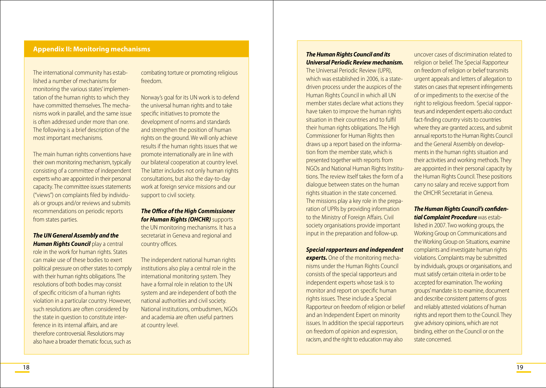#### **Appendix II: Monitoring mechanisms**

The international community has established a number of mechanisms for monitoring the various states' implementation of the human rights to which they have committed themselves. The mechanisms work in parallel, and the same issue is often addressed under more than one. The following is a brief description of the most important mechanisms.

The main human rights conventions have their own monitoring mechanism, typically consisting of a committee of independent experts who are appointed in their personal capacity. The committee issues statements ("views") on complaints filed by individuals or groups and/or reviews and submits recommendations on periodic reports from states parties.

*The UN General Assembly and the Human Rights Council* play a central role in the work for human rights. States can make use of these bodies to exert political pressure on other states to comply with their human rights obligations. The resolutions of both bodies may consist of specific criticism of a human rights violation in a particular country. However, such resolutions are often considered by the state in question to constitute interference in its internal affairs, and are therefore controversial. Resolutions may also have a broader thematic focus, such as

combating torture or promoting religious freedom.

Norway's goal for its UN work is to defend the universal human rights and to take specific initiatives to promote the development of norms and standards and strengthen the position of human rights on the ground. We will only achieve results if the human rights issues that we promote internationally are in line with our bilateral cooperation at country level. The latter includes not only human rights consultations, but also the day-to-day work at foreign service missions and our support to civil society.

*The Office of the High Commissioner for Human Rights (OHCHR)* supports the UN monitoring mechanisms. It has a secretariat in Geneva and regional and country offices.

The independent national human rights institutions also play a central role in the international monitoring system. They have a formal role in relation to the UN system and are independent of both the national authorities and civil society. National institutions, ombudsmen, NGOs and academia are often useful partners at country level.

### *The Human Rights Council and its Universal Periodic Review mechanism.*

The Universal Periodic Review (UPR), which was established in 2006, is a statedriven process under the auspices of the Human Rights Council in which all UN member states declare what actions they have taken to improve the human rights situation in their countries and to fulfil their human rights obligations. The High Commissioner for Human Rights then draws up a report based on the information from the member state, which is presented together with reports from NGOs and National Human Rights Institutions. The review itself takes the form of a dialogue between states on the human rights situation in the state concerned. The missions play a key role in the preparation of UPRs by providing information to the Ministry of Foreign Affairs. Civil society organisations provide important input in the preparation and follow-up.

*Special rapporteurs and independent* 

**experts.** One of the monitoring mechanisms under the Human Rights Council consists of the special rapporteurs and independent experts whose task is to monitor and report on specific human rights issues. These include a Special Rapporteur on freedom of religion or belief and an Independent Expert on minority issues. In addition the special rapporteurs on freedom of opinion and expression, racism, and the right to education may also

uncover cases of discrimination related to religion or belief. The Special Rapporteur on freedom of religion or belief transmits urgent appeals and letters of allegation to states on cases that represent infringements of or impediments to the exercise of the right to religious freedom. Special rapporteurs and independent experts also conduct fact-finding country visits to countries where they are granted access, and submit annual reports to the Human Rights Council and the General Assembly on developments in the human rights situation and their activities and working methods. They are appointed in their personal capacity by the Human Rights Council. These positions carry no salary and receive support from the OHCHR Secretariat in Geneva.

#### *The Human Rights Council's confidential Complaint Procedure* was estab-

lished in 2007. Two working groups, the Working Group on Communications and the Working Group on Situations, examine complaints and investigate human rights violations. Complaints may be submitted by individuals, groups or organisations, and must satisfy certain criteria in order to be accepted for examination. The working groups' mandate is to examine, document and describe consistent patterns of gross and reliably attested violations of human rights and report them to the Council. They give advisory opinions, which are not binding, either on the Council or on the state concerned.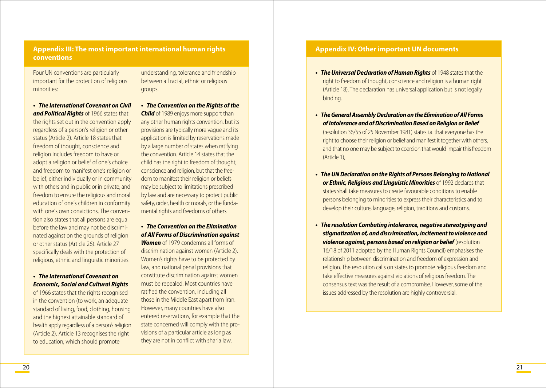Four UN conventions are particularly important for the protection of religious minorities:

**• The International Covenant on Civil** *and Political Rights* of 1966 states that the rights set out in the convention apply regardless of a person's religion or other status (Article 2). Article 18 states that freedom of thought, conscience and religion includes freedom to have or adopt a religion or belief of one's choice and freedom to manifest one's religion or belief, either individually or in community with others and in public or in private; and freedom to ensure the religious and moral education of one's children in conformity with one's own convictions. The conven tion also states that all persons are equal before the law and may not be discrimi nated against on the grounds of religion or other status (Article 26). Article 27 specifically deals with the protection of religious, ethnic and linguistic minorities.

#### **• The International Covenant on** *Economic, Social and Cultural Rights*

of 1966 states that the rights recognised in the convention (to work, an adequate standard of living, food, clothing, housing and the highest attainable standard of health apply regardless of a person's religion (Article 2). Article 13 recognises the right to education, which should promote

understanding, tolerance and friendship between all racial, ethnic or religious groups.

**• The Convention on the Rights of the** *Child* of 1989 enjoys more support than any other human rights convention, but its provisions are typically more vague and its application is limited by reservations made by a large number of states when ratifying the convention. Article 14 states that the child has the right to freedom of thought, conscience and religion, but that the free dom to manifest their religion or beliefs may be subject to limitations prescribed by law and are necessary to protect public safety, order, health or morals, or the funda mental rights and freedoms of others.

### **• The Convention on the Elimination** *of All Forms of Discrimination against*

*Women* of 1979 condemns all forms of discrimination against women (Article 2). Women's rights have to be protected by law, and national penal provisions that constitute discrimination against women must be repealed. Most countries have ratified the convention, including all those in the Middle East apart from Iran. However, many countries have also entered reservations, for example that the state concerned will comply with the pro visions of a particular article as long as they are not in conflict with sharia law.

#### **Appendix IV: Other important UN documents**

- **The Universal Declaration of Human Rights** of 1948 states that the right to freedom of thought, conscience and religion is a human right (Article 18). The declaration has universal application but is not legally binding.
- **•**  *The General Assembly Declaration on the Elimination of All Forms* **ofIntolerance and ofDiscriminationBased onReligionorBelief** (resolution 36/55 of 25 November 1981) states i.a. that everyone has the right to choose their religion or belief and manifest it together with others, and that no one may be subject to coercion that would impair this freedom (Article 1),
- **The UN Declaration on the Rights of Persons Belonging to National** *or Ethnic, Religious and Linguistic Minorities* of 1992 declares that states shall take measures to create favourable conditions to enable persons belonging to minorities to express their characteristics and to develop their culture, language, religion, traditions and customs.
- **•**  *The resolution Combating intolerance, negative stereotyping and stigmatization of, and discrimination, incitement to violence and violence against, persons based on religion or belief* (resolution 16/18 of 2011 adopted by the Human Rights Council) emphasises the relationship between discrimination and freedom of expression and religion. The resolution calls on states to promote religious freedom and take effective measures against violations of religious freedom. The consensus text was the result of a compromise. However, some of the issues addressed by the resolution are highly controversial.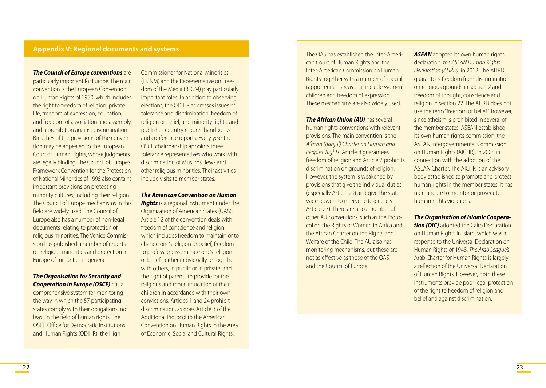### **Appendix V: Regional documents and systems**

*The Council of Europe conventions* are particularly important for Europe. The main convention is the European Convention on Human Rights of 1950, which includes the right to freedom of religion, private life, freedom of expression, education, and freedom of association and assembly, and a prohibition against discrimination. Breaches of the provisions of the convention may be appealed to the European Court of Human Rights, whose judgments are legally binding. The Council of Europe's Framework Convention for the Protection of National Minorities of 1995 also contains important provisions on protecting minority cultures, including their religion. The Council of Europe mechanisms in this field are widely used. The Council of Europe also has a number of non-legal documents relating to protection of religious minorities. The Venice Commission has published a number of reports on religious minorities and protection in Europe of minorities in general.

#### *The Organisation for Security and Cooperation in Europe (OSCE)* has a

comprehensive system for monitoring the way in which the 57 participating states comply with their obligations, not least in the field of human rights. The OSCE Office for Democratic Institutions and Human Rights (ODIHR), the High

Commissioner for National Minorities (HCNM) and the Representative on Freedom of the Media (RFOM) play particularly important roles. In addition to observing elections, the ODIHR addresses issues of tolerance and discrimination, freedom of religion or belief, and minority rights, and publishes country reports, handbooks and conference reports. Every year the OSCE chairmanship appoints three tolerance representatives who work with discrimination of Muslims, Jews and other religious minorities. Their activities include visits to member states.

#### *The American Convention on Human*

*Rights* is a regional instrument under the Organization of American States (OAS). Article 12 of the convention deals with freedom of conscience and religion, which includes freedom to maintain or to change one's religion or belief, freedom to profess or disseminate one's religion or beliefs, either individually or together with others, in public or in private, and the right of parents to provide for the religious and moral education of their children in accordance with their own convictions. Articles 1 and 24 prohibit discrimination, as does Article 3 of the Additional Protocol to the American Convention on Human Rights in the Area of Economic, Social and Cultural Rights.

The OAS has established the Inter-American Court of Human Rights and the Inter-American Commission on Human Rights together with a number of special rapporteurs in areas that include women, children and freedom of expression. These mechanisms are also widely used.

*The African Union (AU)* has several human rights conventions with relevant provisions. The main convention is the *African (Banjul) Charter on Human and Peoples' Rights*. Article 8 guarantees freedom of religion and Article 2 prohibits discrimination on grounds of religion. However, the system is weakened by provisions that give the individual duties (especially Article 29) and give the states wide powers to intervene (especially Article 27). There are also a number of other AU conventions, such as the Protocol on the Rights of Women in Africa and the African Charter on the Rights and Welfare of the Child. The AU also has monitoring mechanisms, but these are not as effective as those of the OAS and the Council of Europe.

**ASEAN** adopted its own human rights declaration, *the ASEAN Human Rights Declaration (AHRD)*, in 2012. The AHRD guarantees freedom from discrimination on religious grounds in section 2 and freedom of thought, conscience and religion in section 22. The AHRD does not use the term "freedom of belief", however, since atheism is prohibited in several of the member states. ASEAN established its own human rights commission, the ASEAN Intergovernmental Commission on Human Rights (AICHR), in 2008 in connection with the adoption of the ASEAN Charter. The AICHR is an advisory body established to promote and protect human rights in the member states. It has no mandate to monitor or prosecute human rights violations.

#### **The Organisation of Islamic Coopera***-*

**tion (OIC)** adopted the Cairo Declaration on Human Rights in Islam, which was a response to the Universal Declaration on Human Rights of 1948. *The Arab League's* Arab Charter for Human Rights is largely a reflection of the Universal Declaration of Human Rights. However, both these instruments provide poor legal protection of the right to freedom of religion and belief and against discrimination.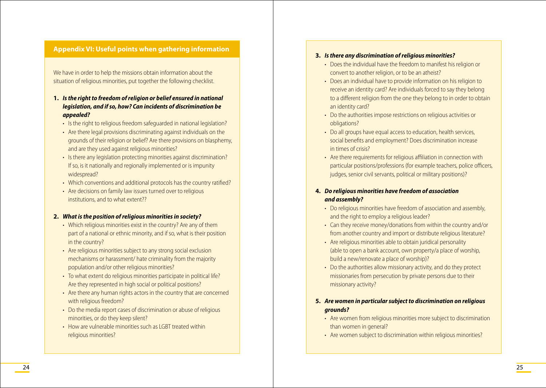# **Appendix VI: Useful points when gathering information**

We have in order to help the missions obtain information about the situation of religious minorities, put together the following checklist.

- **1. Isthe right to freedom ofreligion or belief ensured in national** *legislation, and if so, how? Can incidents of discrimination be appealed?*
	- Is the right to religious freedom safeguarded in national legislation?
	- Are there legal provisions discriminating against individuals on the grounds of their religion or belief? Are there provisions on blasphemy, and are they used against religious minorities?
	- Is there any legislation protecting minorities against discrimination? If so, is it nationally and regionally implemented or is impunity widespread?
	- Which conventions and additional protocols has the country ratified?
	- Are decisions on family law issues turned over to religious institutions, and to what extent??

#### **2.** *What is the position of religious minorities in society?*

- Which religious minorities exist in the country? Are any of them part of a national or ethnic minority, and if so, what is their position in the country?
- Are religious minorities subject to any strong social exclusion mechanisms or harassment/ hate criminality from the majority population and/or other religious minorities?
- To what extent do religious minorities participate in political life? Are they represented in high social or political positions?
- Are there any human rights actors in the country that are concerned with religious freedom?
- Do the media report cases of discrimination or abuse of religious minorities, or do they keep silent?
- How are vulnerable minorities such as LGBT treated within religious minorities?

#### **3. Isthere any discrimination ofreligious minorities?**

- Does the individual have the freedom to manifest his religion or convert to another religion, or to be an atheist?
- Does an individual have to provide information on his religion to receive an identity card? Are individuals forced to say they belong to a different religion from the one they belong to in order to obtain an identity card?
- Do the authorities impose restrictions on religious activities or obligations?
- Do all groups have equal access to education, health services, social benefits and employment? Does discrimination increase in times of crisis?
- Are there requirements for religious affiliation in connection with particular positions/professions (for example teachers, police officers, judges, senior civil servants, political or military positions)?

#### **4.** *Do religious minorities have freedom of association and assembly?*

- Do religious minorities have freedom of association and assembly, and the right to employ a religious leader?
- Can they receive money/donations from within the country and/or from another country and import or distribute religious literature?
- Are religious minorities able to obtain juridical personality (able to open a bank account, own property/a place of worship, build a new/renovate a place of worship)?
- Do the authorities allow missionary activity, and do they protect missionaries from persecution by private persons due to their missionary activity?

### **5.** *Are women in particular subject to discrimination on religious grounds?*

- Are women from religious minorities more subject to discrimination than women in general?
- Are women subject to discrimination within religious minorities?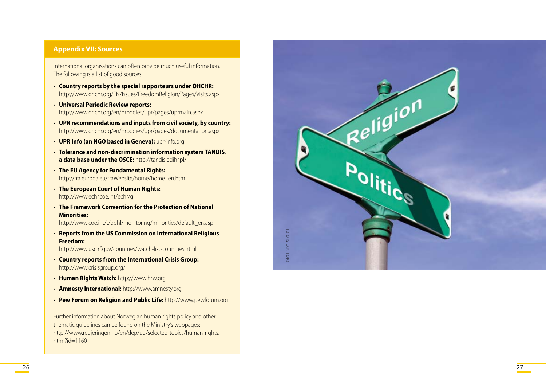### **Appendix VII: Sources**

International organisations can often provide much useful information. The following is a list of good sources:

- • **Country reports by the special rapporteurs under OHCHR:** http://www.ohchr.org/ EN/Issues/FreedomReligion/Pages/ Visits.aspx
- • **Universal Periodic Review reports:**  http://www.ohchr.org/en/hrbodies/upr/pages/uprmain.aspx
- • **UPR recommendations and inputs from civil society, by country:**  http://www.ohchr.org/en/hrbodies/upr/pages/documentation.aspx
- **· UPR Info (an NGO based in Geneva):** upr-info.org
- • **Tolerance and non-discrimination information system TANDIS**, **a data base under the OSCE:** http://tandis.odihr.pl/
- • **The EU Agency for Fundamental Rights:** http://fra.europa.eu/fraWebsite/home/home\_en.htm
- • **The European Court of Human Rights:** http://www.echr.coe.int/echr/g
- • **The Framework Convention for the Protection of National Minorities:**

http://www.coe.int/t/dghl/monitoring/minorities/default\_en.asp

- • **Reports from the US Commission on International Religious Freedom:** http://www.uscirf.gov/countries/watch -list -countries.html
- • **Country reports from the International Crisis Group:**  http://www.crisisgroup.org/
- • **Human Rights Watch:** http://www.hrw.org
- • **Amnesty International:** http://www.amnesty.org
- • **Pew Forum on Religio n and Public Life:** http://www.pewforum.org

Further information about Norwegian human rights policy and other thematic guidelines can be found on the Ministry's webpages: http://www.regjeringen.no/en/dep/ud/selected -topics/human -rights.  $html$ ?id=1160